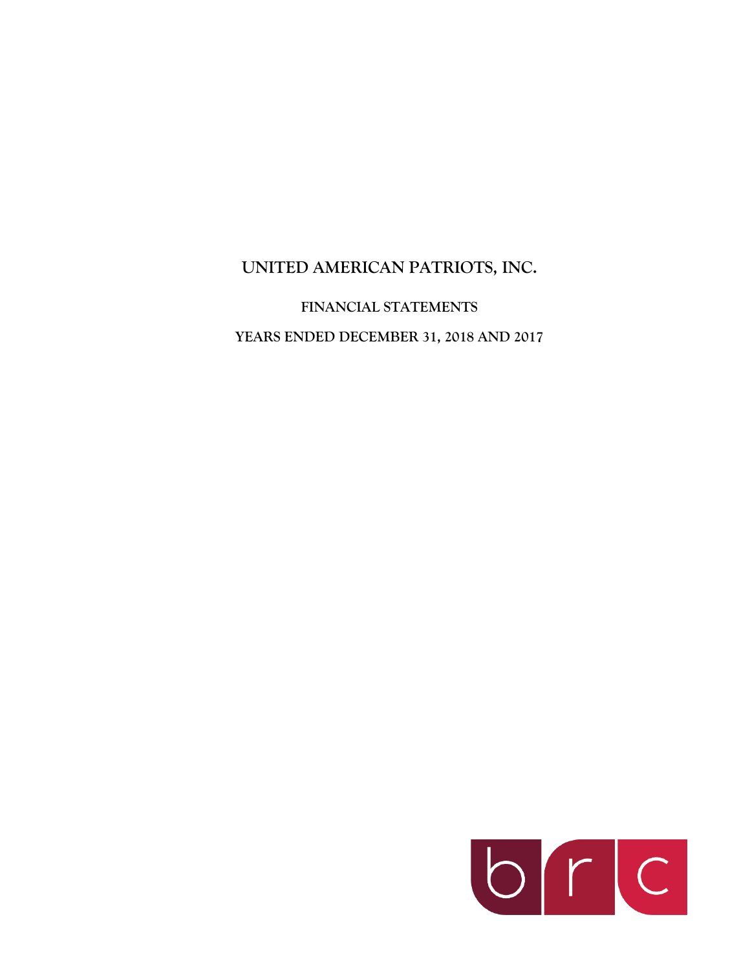**UNITED AMERICAN PATRIOTS, INC.**

**FINANCIAL STATEMENTS YEARS ENDED DECEMBER 31, 2018 AND 2017**

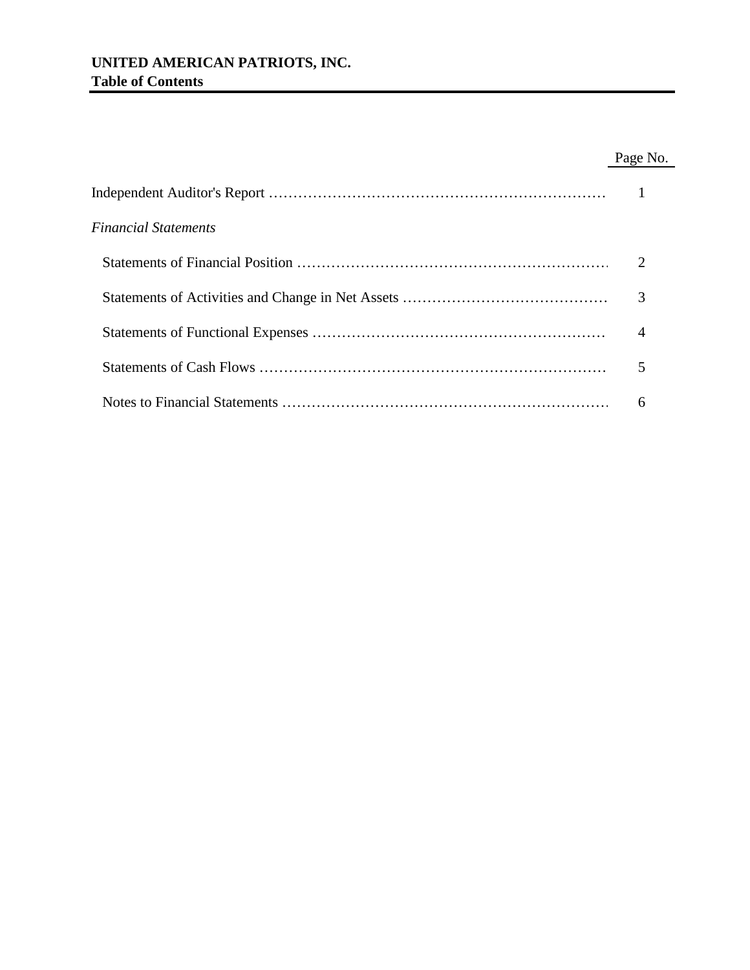# **UNITED AMERICAN PATRIOTS, INC. Table of Contents**

# Page No.

| Financial Statements |   |
|----------------------|---|
|                      |   |
|                      | 3 |
|                      | 4 |
|                      |   |
|                      | 6 |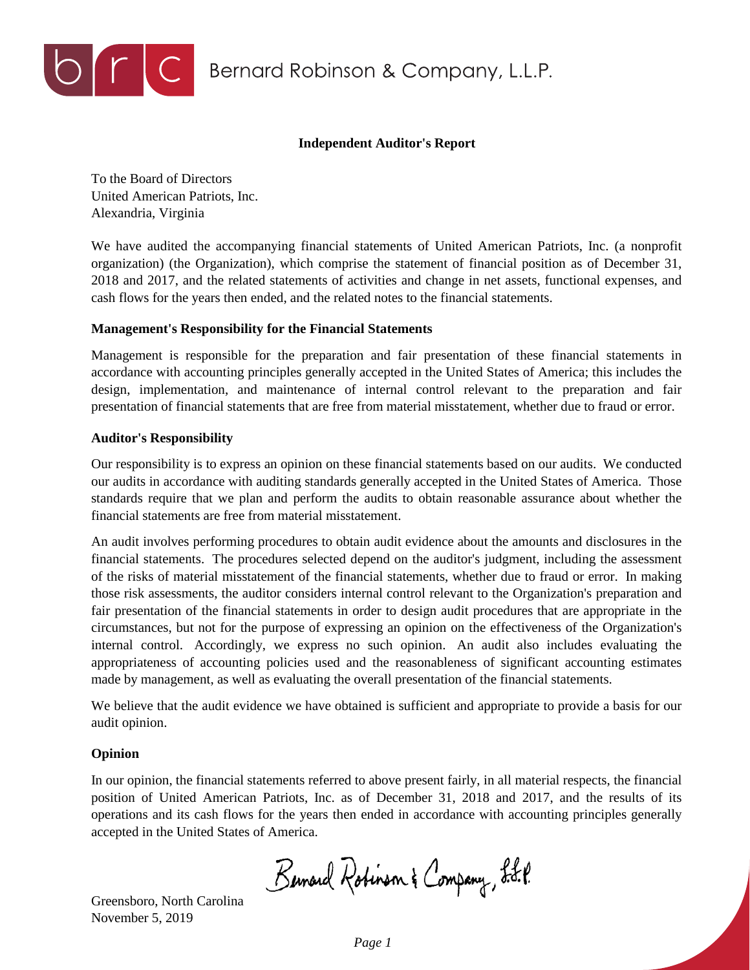

DEC Bernard Robinson & Company, L.L.P.

### **Independent Auditor's Report**

To the Board of Directors United American Patriots, Inc. Alexandria, Virginia

We have audited the accompanying financial statements of United American Patriots, Inc. (a nonprofit organization) (the Organization), which comprise the statement of financial position as of December 31, 2018 and 2017, and the related statements of activities and change in net assets, functional expenses, and cash flows for the years then ended, and the related notes to the financial statements.

## **Management's Responsibility for the Financial Statements**

Management is responsible for the preparation and fair presentation of these financial statements in accordance with accounting principles generally accepted in the United States of America; this includes the design, implementation, and maintenance of internal control relevant to the preparation and fair presentation of financial statements that are free from material misstatement, whether due to fraud or error.

#### **Auditor's Responsibility**

Our responsibility is to express an opinion on these financial statements based on our audits. We conducted our audits in accordance with auditing standards generally accepted in the United States of America. Those standards require that we plan and perform the audits to obtain reasonable assurance about whether the financial statements are free from material misstatement.

An audit involves performing procedures to obtain audit evidence about the amounts and disclosures in the financial statements. The procedures selected depend on the auditor's judgment, including the assessment of the risks of material misstatement of the financial statements, whether due to fraud or error. In making those risk assessments, the auditor considers internal control relevant to the Organization's preparation and fair presentation of the financial statements in order to design audit procedures that are appropriate in the circumstances, but not for the purpose of expressing an opinion on the effectiveness of the Organization's internal control. Accordingly, we express no such opinion. An audit also includes evaluating the appropriateness of accounting policies used and the reasonableness of significant accounting estimates made by management, as well as evaluating the overall presentation of the financial statements.

We believe that the audit evidence we have obtained is sufficient and appropriate to provide a basis for our audit opinion.

#### **Opinion**

In our opinion, the financial statements referred to above present fairly, in all material respects, the financial position of United American Patriots, Inc. as of December 31, 2018 and 2017, and the results of its operations and its cash flows for the years then ended in accordance with accounting principles generally accepted in the United States of America.

Bernard Robinson & Company, L.L.P.

Greensboro, North Carolina November 5, 2019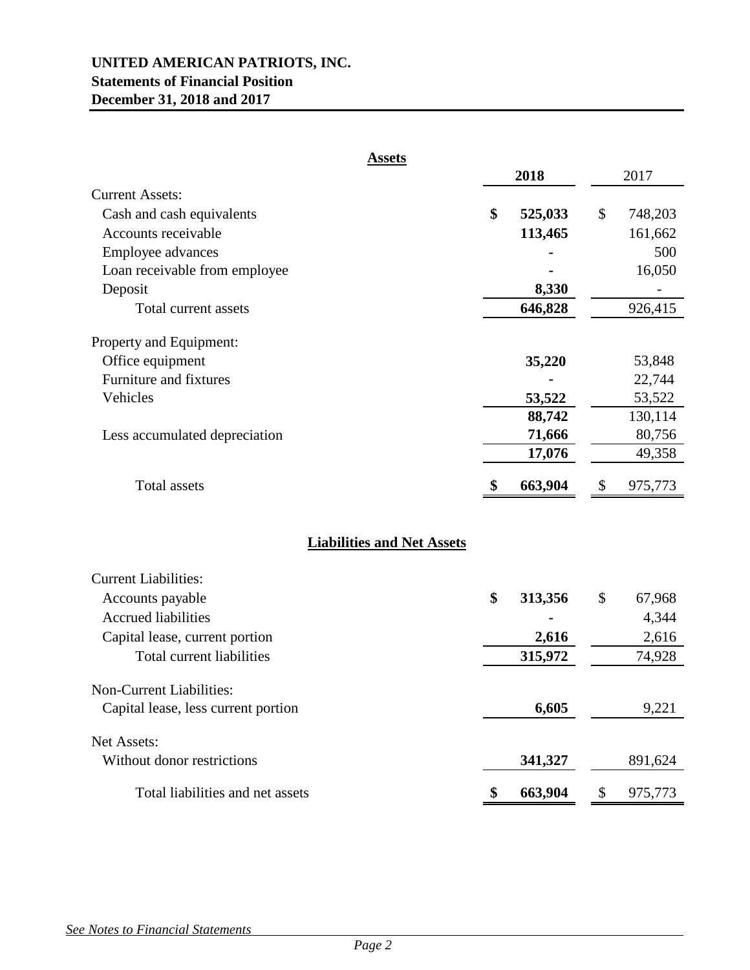# **UNITED AMERICAN PATRIOTS, INC. Statements of Financial Position December 31, 2018 and 2017**

| <b>Assets</b>                       |               |               |
|-------------------------------------|---------------|---------------|
|                                     | 2018          | 2017          |
| <b>Current Assets:</b>              |               |               |
| Cash and cash equivalents           | \$<br>525,033 | \$<br>748,203 |
| Accounts receivable                 | 113,465       | 161,662       |
| Employee advances                   |               | 500           |
| Loan receivable from employee       |               | 16,050        |
| Deposit                             | 8,330         |               |
| Total current assets                | 646,828       | 926,415       |
| Property and Equipment:             |               |               |
| Office equipment                    | 35,220        | 53,848        |
| Furniture and fixtures              |               | 22,744        |
| Vehicles                            | 53,522        | 53,522        |
|                                     | 88,742        | 130,114       |
| Less accumulated depreciation       | 71,666        | 80,756        |
|                                     | 17,076        | 49,358        |
| <b>Total assets</b>                 | 663,904<br>\$ | \$<br>975,773 |
| <b>Liabilities and Net Assets</b>   |               |               |
| <b>Current Liabilities:</b>         |               |               |
| Accounts payable                    | \$<br>313,356 | \$<br>67,968  |
| <b>Accrued liabilities</b>          |               | 4,344         |
| Capital lease, current portion      | 2,616         | 2,616         |
| Total current liabilities           | 315,972       | 74,928        |
| Non-Current Liabilities:            |               |               |
| Capital lease, less current portion | 6,605         | 9,221         |
| Net Assets:                         |               |               |
| Without donor restrictions          | 341,327       | 891,624       |
| Total liabilities and net assets    | 663,904<br>\$ | \$<br>975,773 |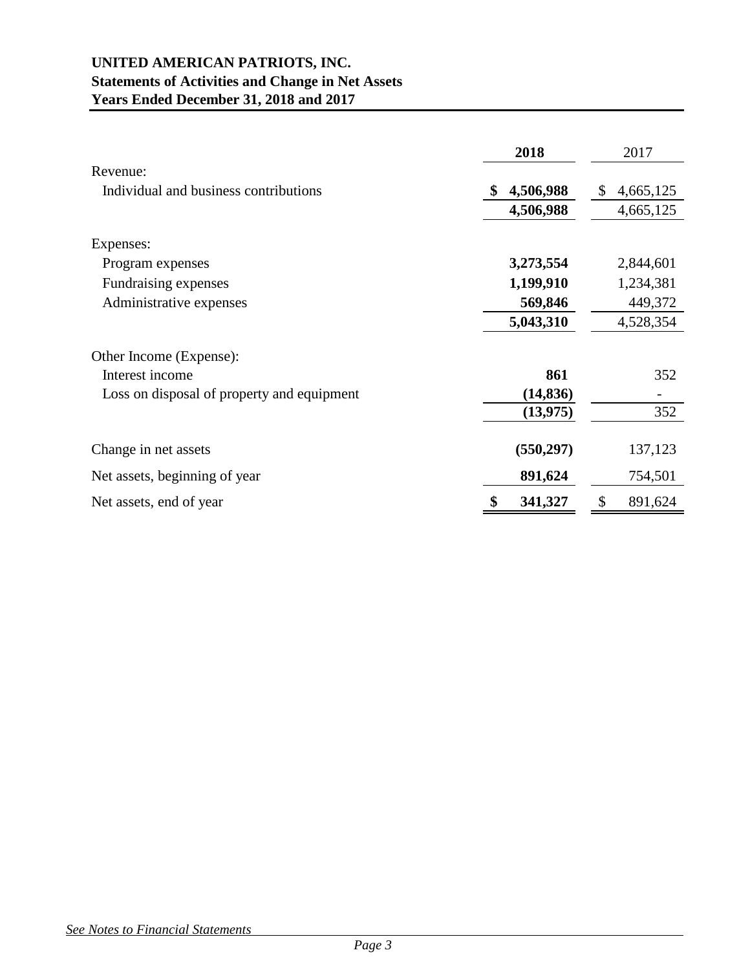# **UNITED AMERICAN PATRIOTS, INC. Statements of Activities and Change in Net Assets Years Ended December 31, 2018 and 2017**

|                                            | 2018          | 2017            |
|--------------------------------------------|---------------|-----------------|
| Revenue:                                   |               |                 |
| Individual and business contributions      | 4,506,988     | 4,665,125<br>\$ |
|                                            | 4,506,988     | 4,665,125       |
| Expenses:                                  |               |                 |
| Program expenses                           | 3,273,554     | 2,844,601       |
| Fundraising expenses                       | 1,199,910     | 1,234,381       |
| Administrative expenses                    | 569,846       | 449,372         |
|                                            | 5,043,310     | 4,528,354       |
| Other Income (Expense):                    |               |                 |
| Interest income                            | 861           | 352             |
| Loss on disposal of property and equipment | (14, 836)     |                 |
|                                            | (13, 975)     | 352             |
| Change in net assets                       | (550, 297)    | 137,123         |
| Net assets, beginning of year              | 891,624       | 754,501         |
| Net assets, end of year                    | \$<br>341,327 | \$<br>891,624   |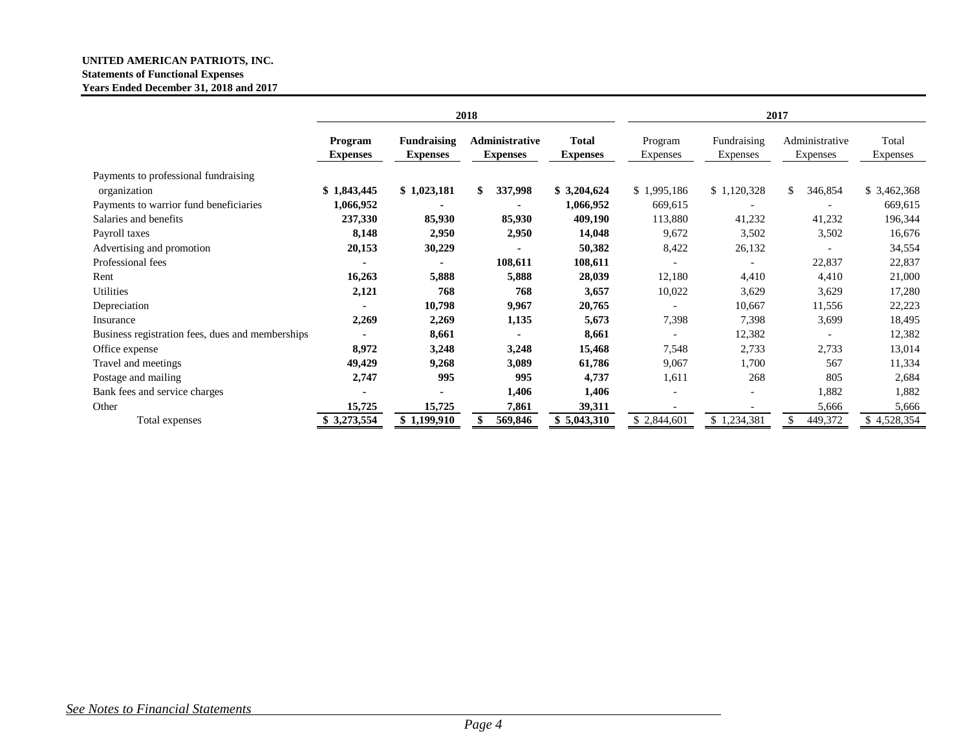#### **UNITED AMERICAN PATRIOTS, INC. Statements of Functional Expenses Years Ended December 31, 2018 and 2017**

|                                                  | 2018                       |                                       |                                   | 2017                     |                     |                         |                            |                   |
|--------------------------------------------------|----------------------------|---------------------------------------|-----------------------------------|--------------------------|---------------------|-------------------------|----------------------------|-------------------|
|                                                  | Program<br><b>Expenses</b> | <b>Fundraising</b><br><b>Expenses</b> | Administrative<br><b>Expenses</b> | Total<br><b>Expenses</b> | Program<br>Expenses | Fundraising<br>Expenses | Administrative<br>Expenses | Total<br>Expenses |
| Payments to professional fundraising             |                            |                                       |                                   |                          |                     |                         |                            |                   |
| organization                                     | \$1,843,445                | \$1,023,181                           | 337,998<br>\$.                    | \$3,204,624              | \$1,995,186         | \$1,120,328             | \$.<br>346,854             | \$3,462,368       |
| Payments to warrior fund beneficiaries           | 1,066,952                  |                                       |                                   | 1,066,952                | 669,615             | ٠                       |                            | 669,615           |
| Salaries and benefits                            | 237,330                    | 85,930                                | 85,930                            | 409,190                  | 113,880             | 41,232                  | 41,232                     | 196,344           |
| Payroll taxes                                    | 8,148                      | 2,950                                 | 2,950                             | 14,048                   | 9,672               | 3,502                   | 3,502                      | 16,676            |
| Advertising and promotion                        | 20,153                     | 30,229                                |                                   | 50,382                   | 8,422               | 26,132                  |                            | 34,554            |
| Professional fees                                |                            |                                       | 108,611                           | 108,611                  |                     |                         | 22,837                     | 22,837            |
| Rent                                             | 16,263                     | 5,888                                 | 5,888                             | 28,039                   | 12,180              | 4,410                   | 4,410                      | 21,000            |
| Utilities                                        | 2,121                      | 768                                   | 768                               | 3,657                    | 10,022              | 3,629                   | 3,629                      | 17,280            |
| Depreciation                                     |                            | 10,798                                | 9,967                             | 20,765                   |                     | 10,667                  | 11,556                     | 22,223            |
| Insurance                                        | 2,269                      | 2,269                                 | 1,135                             | 5,673                    | 7,398               | 7,398                   | 3,699                      | 18,495            |
| Business registration fees, dues and memberships |                            | 8,661                                 |                                   | 8,661                    |                     | 12,382                  |                            | 12,382            |
| Office expense                                   | 8,972                      | 3,248                                 | 3,248                             | 15,468                   | 7,548               | 2,733                   | 2,733                      | 13,014            |
| Travel and meetings                              | 49,429                     | 9,268                                 | 3,089                             | 61,786                   | 9,067               | 1,700                   | 567                        | 11,334            |
| Postage and mailing                              | 2,747                      | 995                                   | 995                               | 4,737                    | 1,611               | 268                     | 805                        | 2,684             |
| Bank fees and service charges                    |                            |                                       | 1,406                             | 1,406                    |                     |                         | 1,882                      | 1,882             |
| Other                                            | 15,725                     | 15,725                                | 7,861                             | 39,311                   |                     |                         | 5,666                      | 5,666             |
| Total expenses                                   | \$3,273,554                | \$1,199,910                           | 569,846                           | \$5,043,310              | \$2,844,601         | \$1,234,381             | 449,372                    | \$4,528,354       |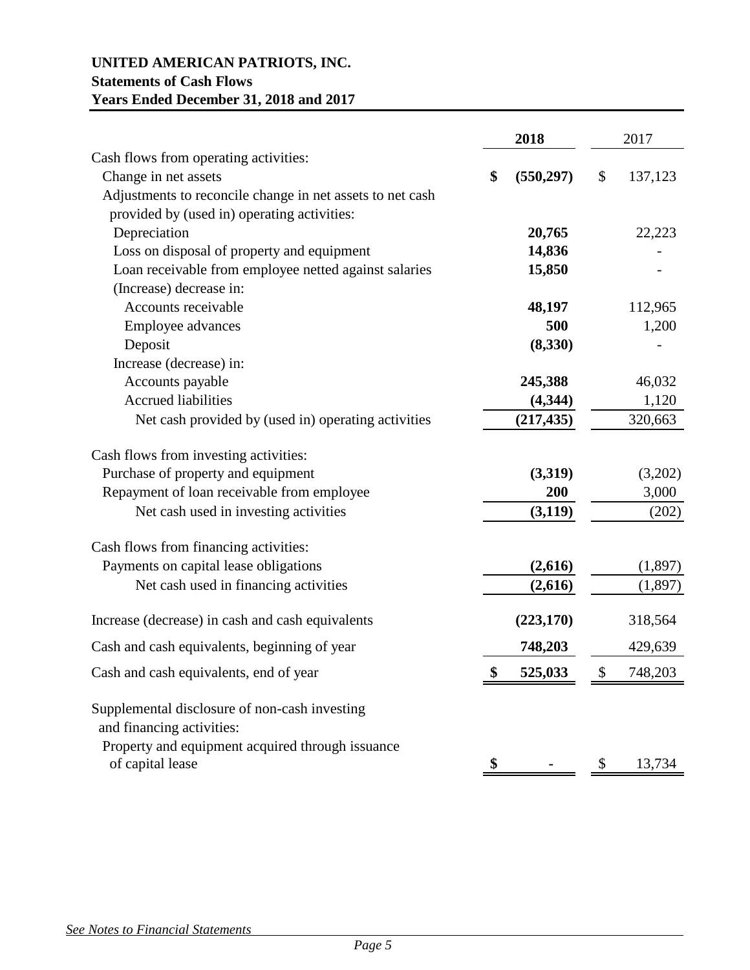# **UNITED AMERICAN PATRIOTS, INC. Statements of Cash Flows Years Ended December 31, 2018 and 2017**

|                                                                            | 2018             | 2017 |          |  |
|----------------------------------------------------------------------------|------------------|------|----------|--|
| Cash flows from operating activities:                                      |                  |      |          |  |
| Change in net assets                                                       | \$<br>(550, 297) | \$   | 137,123  |  |
| Adjustments to reconcile change in net assets to net cash                  |                  |      |          |  |
| provided by (used in) operating activities:                                |                  |      |          |  |
| Depreciation                                                               | 20,765           |      | 22,223   |  |
| Loss on disposal of property and equipment                                 | 14,836           |      |          |  |
| Loan receivable from employee netted against salaries                      | 15,850           |      |          |  |
| (Increase) decrease in:                                                    |                  |      |          |  |
| Accounts receivable                                                        | 48,197           |      | 112,965  |  |
| Employee advances                                                          | 500              |      | 1,200    |  |
| Deposit                                                                    | (8,330)          |      |          |  |
| Increase (decrease) in:                                                    |                  |      |          |  |
| Accounts payable                                                           | 245,388          |      | 46,032   |  |
| <b>Accrued liabilities</b>                                                 | (4, 344)         |      | 1,120    |  |
| Net cash provided by (used in) operating activities                        | (217, 435)       |      | 320,663  |  |
| Cash flows from investing activities:                                      |                  |      |          |  |
| Purchase of property and equipment                                         | (3,319)          |      | (3,202)  |  |
| Repayment of loan receivable from employee                                 | 200              |      | 3,000    |  |
| Net cash used in investing activities                                      | (3, 119)         |      | (202)    |  |
| Cash flows from financing activities:                                      |                  |      |          |  |
| Payments on capital lease obligations                                      | (2,616)          |      | (1,897)  |  |
| Net cash used in financing activities                                      | (2,616)          |      | (1, 897) |  |
| Increase (decrease) in cash and cash equivalents                           | (223, 170)       |      | 318,564  |  |
| Cash and cash equivalents, beginning of year                               | 748,203          |      | 429,639  |  |
| Cash and cash equivalents, end of year                                     | \$<br>525,033    | \$   | 748,203  |  |
| Supplemental disclosure of non-cash investing<br>and financing activities: |                  |      |          |  |
| Property and equipment acquired through issuance<br>of capital lease       |                  |      | 13,734   |  |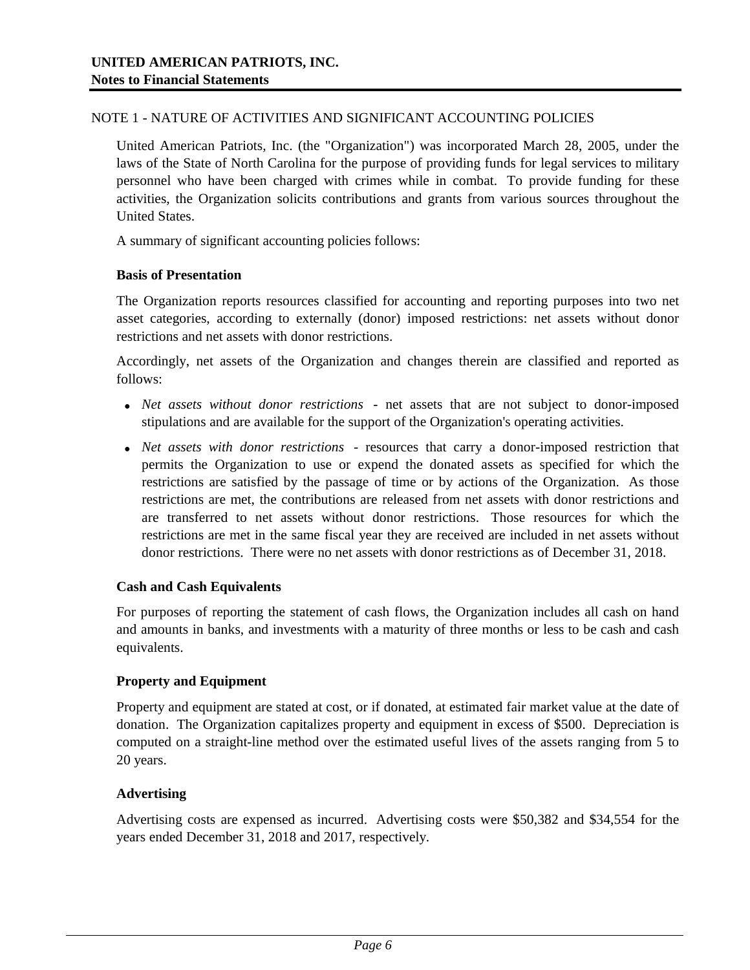## NOTE 1 - NATURE OF ACTIVITIES AND SIGNIFICANT ACCOUNTING POLICIES

United American Patriots, Inc. (the "Organization") was incorporated March 28, 2005, under the laws of the State of North Carolina for the purpose of providing funds for legal services to military personnel who have been charged with crimes while in combat. To provide funding for these activities, the Organization solicits contributions and grants from various sources throughout the United States.

A summary of significant accounting policies follows:

## **Basis of Presentation**

The Organization reports resources classified for accounting and reporting purposes into two net asset categories, according to externally (donor) imposed restrictions: net assets without donor restrictions and net assets with donor restrictions.

Accordingly, net assets of the Organization and changes therein are classified and reported as follows:

- *Net assets without donor restrictions* net assets that are not subject to donor-imposed stipulations and are available for the support of the Organization's operating activities.
- *Net assets with donor restrictions* resources that carry a donor-imposed restriction that permits the Organization to use or expend the donated assets as specified for which the restrictions are satisfied by the passage of time or by actions of the Organization. As those restrictions are met, the contributions are released from net assets with donor restrictions and are transferred to net assets without donor restrictions. Those resources for which the restrictions are met in the same fiscal year they are received are included in net assets without donor restrictions. There were no net assets with donor restrictions as of December 31, 2018.

# **Cash and Cash Equivalents**

For purposes of reporting the statement of cash flows, the Organization includes all cash on hand and amounts in banks, and investments with a maturity of three months or less to be cash and cash equivalents.

# **Property and Equipment**

Property and equipment are stated at cost, or if donated, at estimated fair market value at the date of donation. The Organization capitalizes property and equipment in excess of \$500. Depreciation is computed on a straight-line method over the estimated useful lives of the assets ranging from 5 to 20 years.

#### **Advertising**

Advertising costs are expensed as incurred. Advertising costs were \$50,382 and \$34,554 for the years ended December 31, 2018 and 2017, respectively.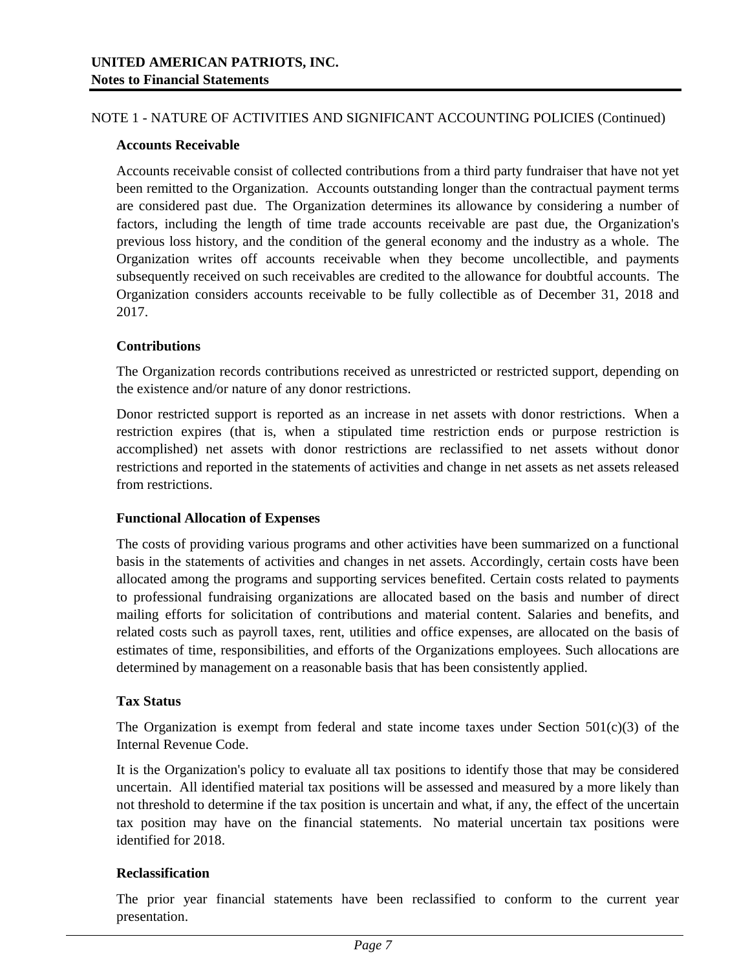## NOTE 1 - NATURE OF ACTIVITIES AND SIGNIFICANT ACCOUNTING POLICIES (Continued)

## **Accounts Receivable**

Accounts receivable consist of collected contributions from a third party fundraiser that have not yet been remitted to the Organization. Accounts outstanding longer than the contractual payment terms are considered past due. The Organization determines its allowance by considering a number of factors, including the length of time trade accounts receivable are past due, the Organization's previous loss history, and the condition of the general economy and the industry as a whole. The Organization writes off accounts receivable when they become uncollectible, and payments subsequently received on such receivables are credited to the allowance for doubtful accounts. The Organization considers accounts receivable to be fully collectible as of December 31, 2018 and 2017.

# **Contributions**

The Organization records contributions received as unrestricted or restricted support, depending on the existence and/or nature of any donor restrictions.

Donor restricted support is reported as an increase in net assets with donor restrictions. When a restriction expires (that is, when a stipulated time restriction ends or purpose restriction is accomplished) net assets with donor restrictions are reclassified to net assets without donor restrictions and reported in the statements of activities and change in net assets as net assets released from restrictions.

#### **Functional Allocation of Expenses**

The costs of providing various programs and other activities have been summarized on a functional basis in the statements of activities and changes in net assets. Accordingly, certain costs have been allocated among the programs and supporting services benefited. Certain costs related to payments to professional fundraising organizations are allocated based on the basis and number of direct mailing efforts for solicitation of contributions and material content. Salaries and benefits, and related costs such as payroll taxes, rent, utilities and office expenses, are allocated on the basis of estimates of time, responsibilities, and efforts of the Organizations employees. Such allocations are determined by management on a reasonable basis that has been consistently applied.

#### **Tax Status**

The Organization is exempt from federal and state income taxes under Section  $501(c)(3)$  of the Internal Revenue Code.

It is the Organization's policy to evaluate all tax positions to identify those that may be considered uncertain. All identified material tax positions will be assessed and measured by a more likely than not threshold to determine if the tax position is uncertain and what, if any, the effect of the uncertain tax position may have on the financial statements. No material uncertain tax positions were identified for 2018.

# **Reclassification**

The prior year financial statements have been reclassified to conform to the current year presentation.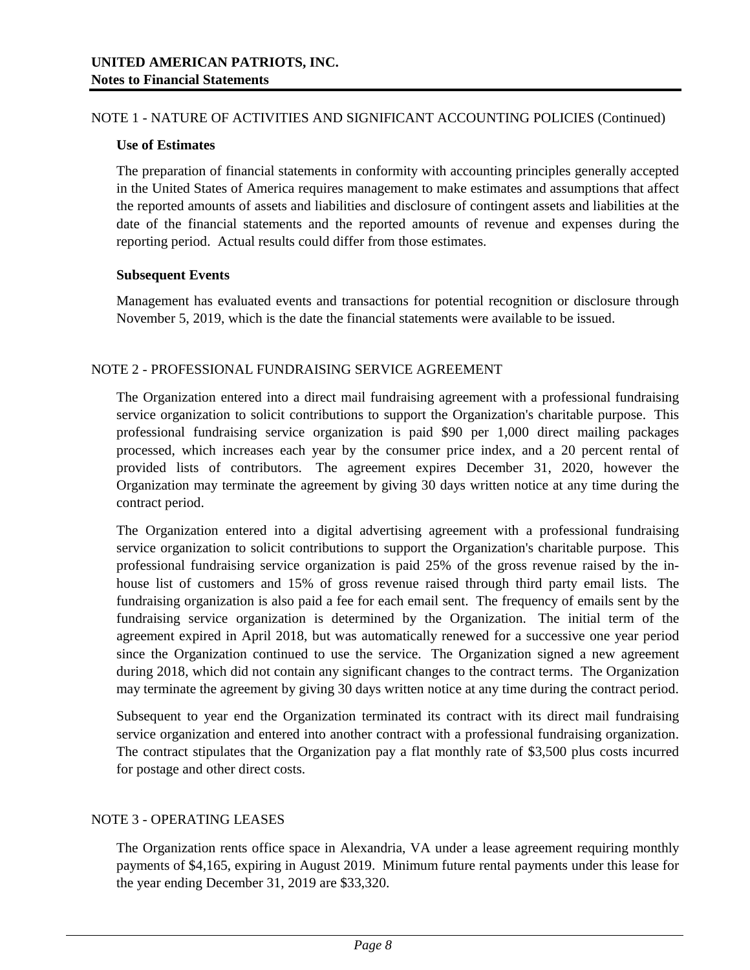## NOTE 1 - NATURE OF ACTIVITIES AND SIGNIFICANT ACCOUNTING POLICIES (Continued)

### **Use of Estimates**

The preparation of financial statements in conformity with accounting principles generally accepted in the United States of America requires management to make estimates and assumptions that affect the reported amounts of assets and liabilities and disclosure of contingent assets and liabilities at the date of the financial statements and the reported amounts of revenue and expenses during the reporting period. Actual results could differ from those estimates.

## **Subsequent Events**

Management has evaluated events and transactions for potential recognition or disclosure through November 5, 2019, which is the date the financial statements were available to be issued.

## NOTE 2 - PROFESSIONAL FUNDRAISING SERVICE AGREEMENT

The Organization entered into a direct mail fundraising agreement with a professional fundraising service organization to solicit contributions to support the Organization's charitable purpose. This professional fundraising service organization is paid \$90 per 1,000 direct mailing packages processed, which increases each year by the consumer price index, and a 20 percent rental of provided lists of contributors. The agreement expires December 31, 2020, however the Organization may terminate the agreement by giving 30 days written notice at any time during the contract period.

The Organization entered into a digital advertising agreement with a professional fundraising service organization to solicit contributions to support the Organization's charitable purpose. This professional fundraising service organization is paid 25% of the gross revenue raised by the inhouse list of customers and 15% of gross revenue raised through third party email lists. The fundraising organization is also paid a fee for each email sent. The frequency of emails sent by the fundraising service organization is determined by the Organization. The initial term of the agreement expired in April 2018, but was automatically renewed for a successive one year period since the Organization continued to use the service. The Organization signed a new agreement during 2018, which did not contain any significant changes to the contract terms. The Organization may terminate the agreement by giving 30 days written notice at any time during the contract period.

Subsequent to year end the Organization terminated its contract with its direct mail fundraising service organization and entered into another contract with a professional fundraising organization. The contract stipulates that the Organization pay a flat monthly rate of \$3,500 plus costs incurred for postage and other direct costs.

# NOTE 3 - OPERATING LEASES

The Organization rents office space in Alexandria, VA under a lease agreement requiring monthly payments of \$4,165, expiring in August 2019. Minimum future rental payments under this lease for the year ending December 31, 2019 are \$33,320.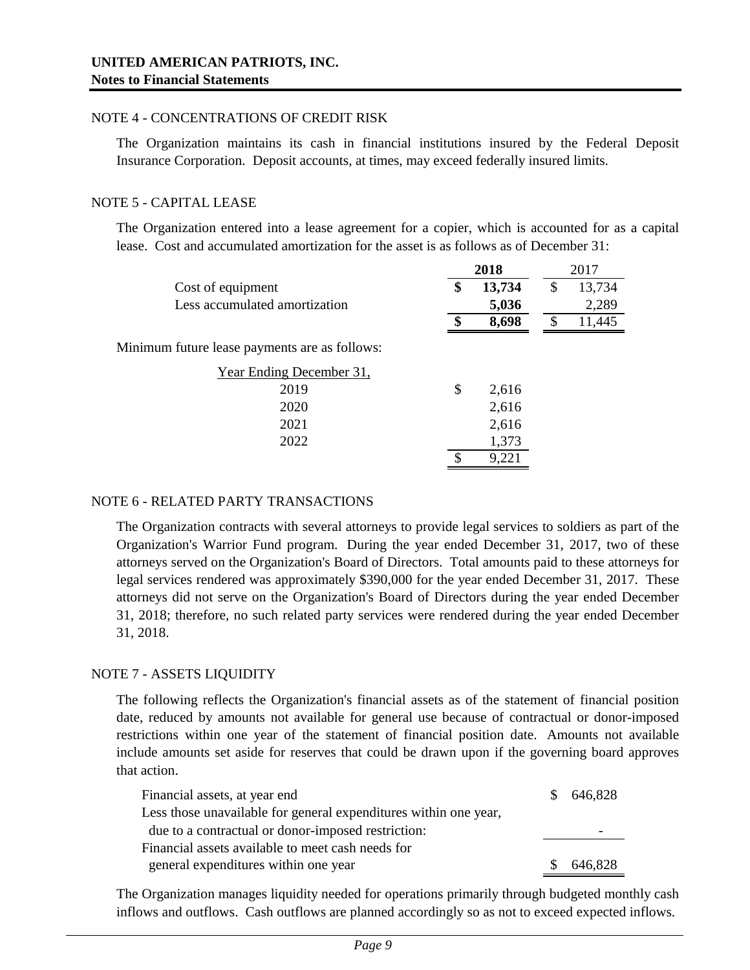## NOTE 4 - CONCENTRATIONS OF CREDIT RISK

The Organization maintains its cash in financial institutions insured by the Federal Deposit Insurance Corporation. Deposit accounts, at times, may exceed federally insured limits.

## NOTE 5 - CAPITAL LEASE

The Organization entered into a lease agreement for a copier, which is accounted for as a capital lease. Cost and accumulated amortization for the asset is as follows as of December 31:

|                                               | 2018         | 2017         |
|-----------------------------------------------|--------------|--------------|
| Cost of equipment                             | \$<br>13,734 | \$<br>13,734 |
| Less accumulated amortization                 | 5,036        | 2,289        |
|                                               | \$<br>8,698  | \$<br>11,445 |
| Minimum future lease payments are as follows: |              |              |
| Year Ending December 31,                      |              |              |
| 2019                                          | \$<br>2,616  |              |
| 2020                                          | 2,616        |              |
| 2021                                          | 2,616        |              |
| 2022                                          | 1,373        |              |
|                                               | 9,221        |              |
|                                               |              |              |

# NOTE 6 - RELATED PARTY TRANSACTIONS

The Organization contracts with several attorneys to provide legal services to soldiers as part of the Organization's Warrior Fund program. During the year ended December 31, 2017, two of these attorneys served on the Organization's Board of Directors. Total amounts paid to these attorneys for legal services rendered was approximately \$390,000 for the year ended December 31, 2017. These attorneys did not serve on the Organization's Board of Directors during the year ended December 31, 2018; therefore, no such related party services were rendered during the year ended December 31, 2018.

# NOTE 7 - ASSETS LIQUIDITY

The following reflects the Organization's financial assets as of the statement of financial position date, reduced by amounts not available for general use because of contractual or donor-imposed restrictions within one year of the statement of financial position date. Amounts not available include amounts set aside for reserves that could be drawn upon if the governing board approves that action.

| Financial assets, at year end                                    | \$ 646,828 |
|------------------------------------------------------------------|------------|
| Less those unavailable for general expenditures within one year, |            |
| due to a contractual or donor-imposed restriction:               |            |
| Financial assets available to meet cash needs for                |            |
| general expenditures within one year                             | 646,828    |

The Organization manages liquidity needed for operations primarily through budgeted monthly cash inflows and outflows. Cash outflows are planned accordingly so as not to exceed expected inflows.